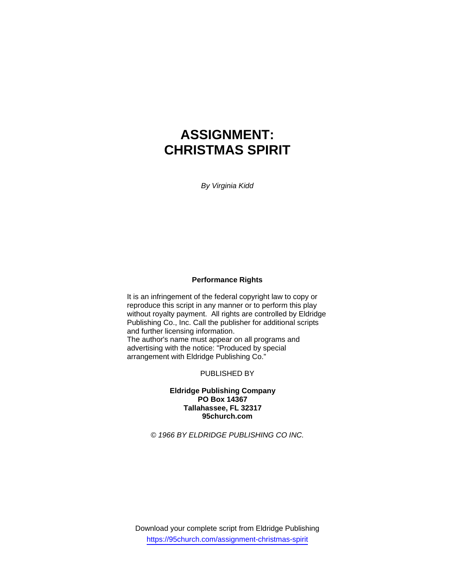# **ASSIGNMENT: CHRISTMAS SPIRIT**

*By Virginia Kidd* 

#### **Performance Rights**

It is an infringement of the federal copyright law to copy or reproduce this script in any manner or to perform this play without royalty payment. All rights are controlled by Eldridge Publishing Co., Inc. Call the publisher for additional scripts and further licensing information. The author's name must appear on all programs and advertising with the notice: "Produced by special arrangement with Eldridge Publishing Co."

PUBLISHED BY

**Eldridge Publishing Company PO Box 14367 Tallahassee, FL 32317 95church.com** 

*© 1966 BY ELDRIDGE PUBLISHING CO INC.* 

Download your complete script from Eldridge Publishing https://95church.com/assignment-christmas-spirit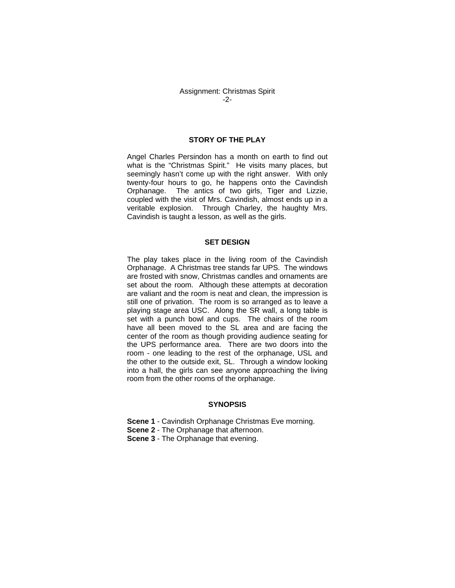### Assignment: Christmas Spirit -2-

#### **STORY OF THE PLAY**

Angel Charles Persindon has a month on earth to find out what is the "Christmas Spirit." He visits many places, but seemingly hasn't come up with the right answer. With only twenty-four hours to go, he happens onto the Cavindish Orphanage. The antics of two girls, Tiger and Lizzie, coupled with the visit of Mrs. Cavindish, almost ends up in a veritable explosion. Through Charley, the haughty Mrs. Cavindish is taught a lesson, as well as the girls.

#### **SET DESIGN**

The play takes place in the living room of the Cavindish Orphanage. A Christmas tree stands far UPS. The windows are frosted with snow, Christmas candles and ornaments are set about the room. Although these attempts at decoration are valiant and the room is neat and clean, the impression is still one of privation. The room is so arranged as to leave a playing stage area USC. Along the SR wall, a long table is set with a punch bowl and cups. The chairs of the room have all been moved to the SL area and are facing the center of the room as though providing audience seating for the UPS performance area. There are two doors into the room - one leading to the rest of the orphanage, USL and the other to the outside exit, SL. Through a window looking into a hall, the girls can see anyone approaching the living room from the other rooms of the orphanage.

## **SYNOPSIS**

**Scene 1** - Cavindish Orphanage Christmas Eve morning.

**Scene 2** - The Orphanage that afternoon.

**Scene 3** - The Orphanage that evening.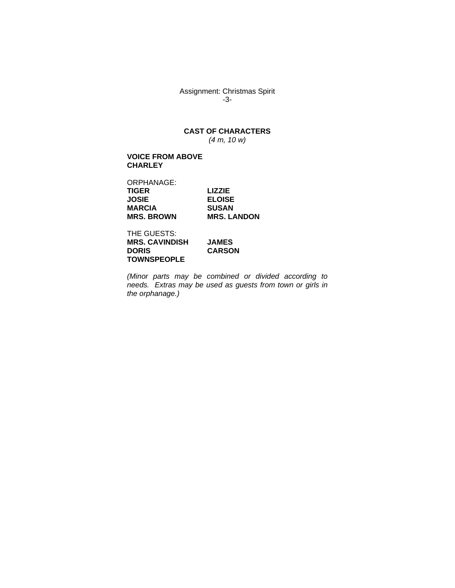Assignment: Christmas Spirit -3-

# **CAST OF CHARACTERS**  *(4 m, 10 w)*

## **VOICE FROM ABOVE CHARLEY**

| LIZZIE             |
|--------------------|
| <b>ELOISE</b>      |
| <b>SUSAN</b>       |
| <b>MRS. LANDON</b> |
|                    |

THE GUESTS: **MRS. CAVINDISH JAMES TOWNSPEOPLE** 

**DORIS CARSON** 

*(Minor parts may be combined or divided according to needs. Extras may be used as guests from town or girls in the orphanage.)*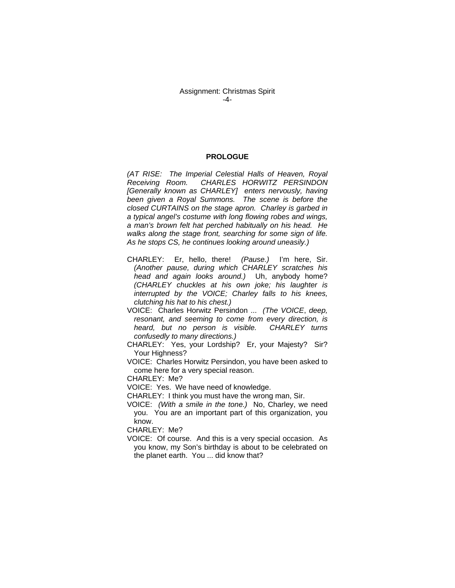#### **PROLOGUE**

*(AT RISE: The Imperial Celestial Halls of Heaven, Royal Receiving Room. CHARLES HORWITZ PERSINDON [Generally known as CHARLEY] enters nervously, having been given a Royal Summons. The scene is before the closed CURTAINS on the stage apron. Charley is garbed in a typical angel's costume with long flowing robes and wings, a man's brown felt hat perched habitually on his head. He walks along the stage front, searching for some sign of life. As he stops CS, he continues looking around uneasily.)* 

- CHARLEY: Er, hello, there! *(Pause.)* I'm here, Sir. *(Another pause, during which CHARLEY scratches his head and again looks around.)* Uh, anybody home? *(CHARLEY chuckles at his own joke; his laughter is interrupted by the VOICE; Charley falls to his knees, clutching his hat to his chest.)*
- VOICE: Charles Horwitz Persindon ... *(The VOICE*, *deep, resonant, and seeming to come from every direction, is heard, but no person is visible. CHARLEY turns confusedly to many directions.)*
- CHARLEY: Yes, your Lordship? Er, your Majesty? Sir? Your Highness?
- VOICE: Charles Horwitz Persindon, you have been asked to come here for a very special reason.

CHARLEY: Me?

VOICE: Yes. We have need of knowledge.

- CHARLEY: I think you must have the wrong man, Sir.
- VOICE: *(With a smile in the tone.)* No, Charley, we need you. You are an important part of this organization, you know.

CHARLEY: Me?

VOICE: Of course. And this is a very special occasion. As you know, my Son's birthday is about to be celebrated on the planet earth. You ... did know that?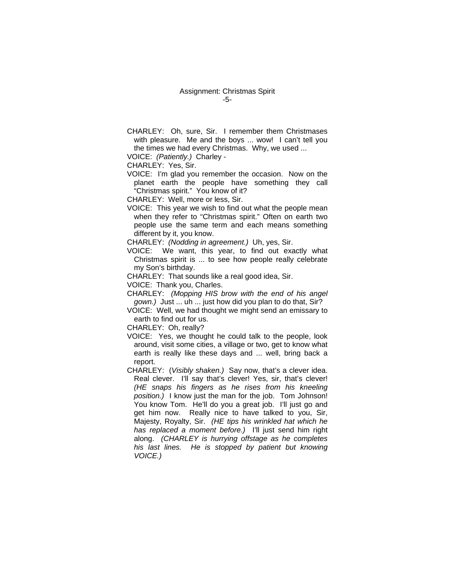CHARLEY: Oh, sure, Sir. I remember them Christmases with pleasure. Me and the boys ... wow! I can't tell you the times we had every Christmas. Why, we used ...

VOICE: *(Patiently.)* Charley -

CHARLEY: Yes, Sir.

VOICE: I'm glad you remember the occasion. Now on the planet earth the people have something they call "Christmas spirit." You know of it?

CHARLEY: Well, more or less, Sir.

VOICE: This year we wish to find out what the people mean when they refer to "Christmas spirit." Often on earth two people use the same term and each means something different by it, you know.

CHARLEY: *(Nodding in agreement.)* Uh, yes, Sir.

- VOICE: We want, this year, to find out exactly what Christmas spirit is ... to see how people really celebrate my Son's birthday.
- CHARLEY: That sounds like a real good idea, Sir.

VOICE: Thank you, Charles.

CHARLEY: *(Mopping HIS brow with the end of his angel gown.)* Just ... uh ... just how did you plan to do that, Sir?

VOICE: Well, we had thought we might send an emissary to earth to find out for us.

CHARLEY: Oh, really?

- VOICE: Yes, we thought he could talk to the people, look around, visit some cities, a village or two, get to know what earth is really like these days and ... well, bring back a report.
- CHARLEY: (*Visibly shaken.)* Say now, that's a clever idea. Real clever. I'll say that's clever! Yes, sir, that's clever! *(HE snaps his fingers as he rises from his kneeling position.)* I know just the man for the job. Tom Johnson! You know Tom. He'll do you a great job. I'll just go and get him now. Really nice to have talked to you, Sir, Majesty, Royalty, Sir. *(HE tips his wrinkled hat which he has replaced a moment before.)* I'll just send him right along. *(CHARLEY is hurrying offstage as he completes his last lines. He is stopped by patient but knowing VOICE.)*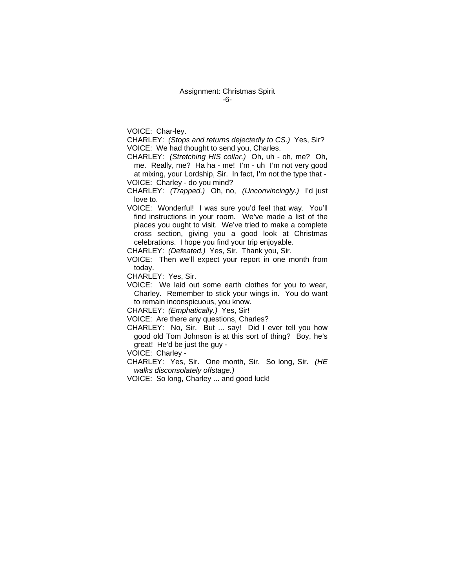VOICE: Char-ley.

CHARLEY: *(Stops and returns dejectedly to CS.)* Yes, Sir? VOICE: We had thought to send you, Charles.

CHARLEY: *(Stretching HIS collar.)* Oh, uh - oh, me? Oh, me. Really, me? Ha ha - me! I'm - uh I'm not very good at mixing, your Lordship, Sir. In fact, I'm not the type that - VOICE: Charley - do you mind?

CHARLEY: *(Trapped.)* Oh, no, *(Unconvincingly.)* I'd just love to.

VOICE: Wonderful! I was sure you'd feel that way. You'll find instructions in your room. We've made a list of the places you ought to visit. We've tried to make a complete cross section, giving you a good look at Christmas celebrations. I hope you find your trip enjoyable.

CHARLEY: *(Defeated.)* Yes, Sir. Thank you, Sir.

VOICE: Then we'll expect your report in one month from today.

CHARLEY: Yes, Sir.

VOICE: We laid out some earth clothes for you to wear, Charley. Remember to stick your wings in. You do want to remain inconspicuous, you know.

CHARLEY: *(Emphatically.)* Yes, Sir!

VOICE: Are there any questions, Charles?

CHARLEY: No, Sir. But ... say! Did I ever tell you how good old Tom Johnson is at this sort of thing? Boy, he's great! He'd be just the guy -

VOICE: Charley -

CHARLEY: Yes, Sir. One month, Sir. So long, Sir. *(HE walks disconsolately offstage.)* 

VOICE: So long, Charley ... and good luck!